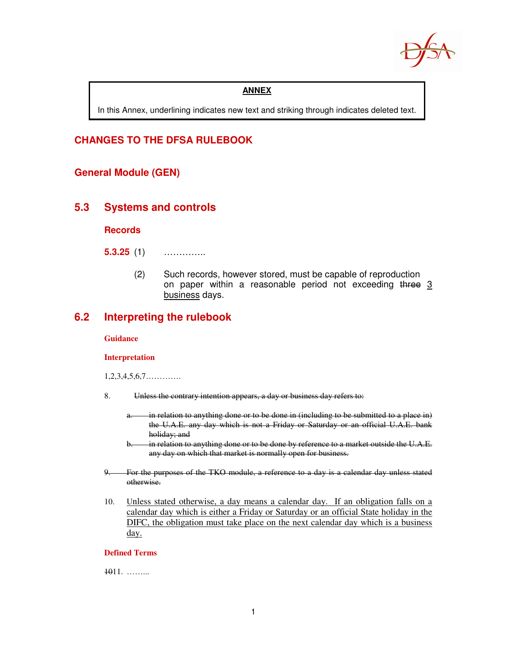

#### **ANNEX**

In this Annex, underlining indicates new text and striking through indicates deleted text.

#### **CHANGES TO THE DFSA RULEBOOK**

#### **General Module (GEN)**

#### **5.3 Systems and controls**

**Records** 

**5.3.25** (1) …………..

(2) Such records, however stored, must be capable of reproduction on paper within a reasonable period not exceeding three 3 business days.

### **6.2 Interpreting the rulebook**

#### **Guidance**

#### **Interpretation**

1,2,3,4,5,6,7………….

- 8. Unless the contrary intention appears, a day or business day refers to:
	- a. in relation to anything done or to be done in (including to be submitted to a place in) the U.A.E. any day which is not a Friday or Saturday or an official U.A.E. bank holiday; and
	- in relation to anything done or to be done by reference to a market outside the U.A.E. any day on which that market is normally open for business.
- 9. For the purposes of the TKO module, a reference to a day is a calendar day unless stated otherwise.
- 10. Unless stated otherwise, a day means a calendar day. If an obligation falls on a calendar day which is either a Friday or Saturday or an official State holiday in the DIFC, the obligation must take place on the next calendar day which is a business day.

#### **Defined Terms**

1011. ……...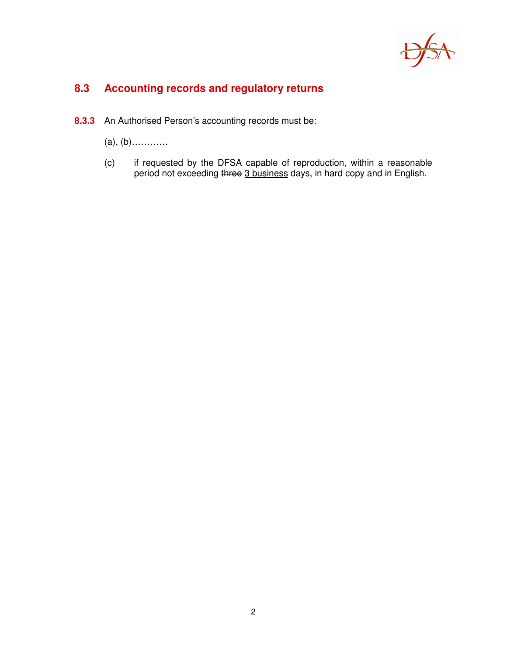

# **8.3 Accounting records and regulatory returns**

- **8.3.3** An Authorised Person's accounting records must be:
	- (a), (b)…………
	- (c) if requested by the DFSA capable of reproduction, within a reasonable period not exceeding three 3 business days, in hard copy and in English.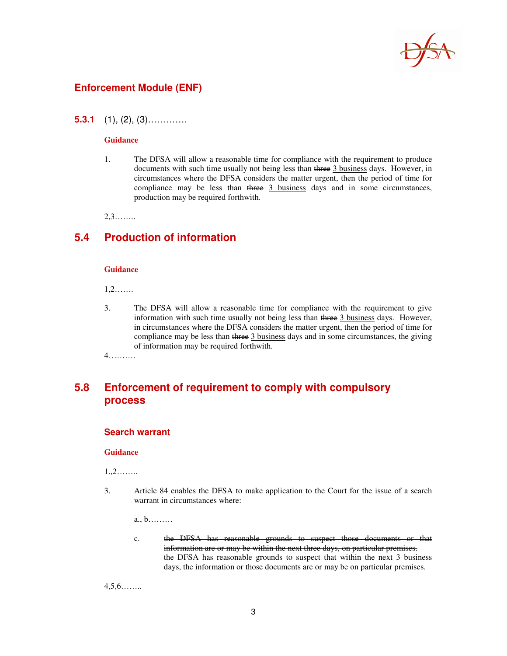

#### **Enforcement Module (ENF)**

**5.3.1** (1), (2), (3)………….

#### **Guidance**

1. The DFSA will allow a reasonable time for compliance with the requirement to produce documents with such time usually not being less than three 3 business days. However, in circumstances where the DFSA considers the matter urgent, then the period of time for compliance may be less than three 3 business days and in some circumstances, production may be required forthwith.

2,3……..

#### **5.4 Production of information**

#### **Guidance**

1,2…….

3. The DFSA will allow a reasonable time for compliance with the requirement to give information with such time usually not being less than three 3 business days. However, in circumstances where the DFSA considers the matter urgent, then the period of time for compliance may be less than three 3 business days and in some circumstances, the giving of information may be required forthwith.

4……….

### **5.8 Enforcement of requirement to comply with compulsory process**

#### **Search warrant**

#### **Guidance**

1.,2……..

3. Article 84 enables the DFSA to make application to the Court for the issue of a search warrant in circumstances where:

a., b………

c. the DFSA has reasonable grounds to suspect those documents or that information are or may be within the next three days, on particular premises. the DFSA has reasonable grounds to suspect that within the next 3 business days, the information or those documents are or may be on particular premises.

4,5,6……..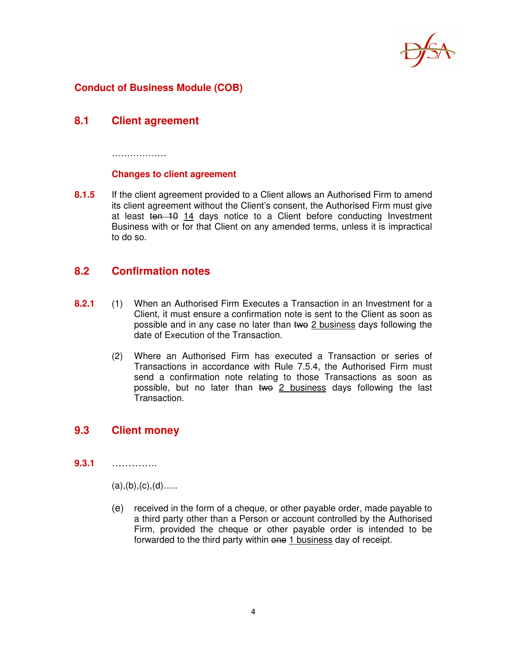

### **Conduct of Business Module (COB)**

### **8.1 Client agreement**

………………

#### **Changes to client agreement**

**8.1.5** If the client agreement provided to a Client allows an Authorised Firm to amend its client agreement without the Client's consent, the Authorised Firm must give at least ten 10 14 days notice to a Client before conducting Investment Business with or for that Client on any amended terms, unless it is impractical to do so.

### **8.2 Confirmation notes**

- **8.2.1** (1) When an Authorised Firm Executes a Transaction in an Investment for a Client, it must ensure a confirmation note is sent to the Client as soon as possible and in any case no later than two 2 business days following the date of Execution of the Transaction.
	- (2) Where an Authorised Firm has executed a Transaction or series of Transactions in accordance with Rule 7.5.4, the Authorised Firm must send a confirmation note relating to those Transactions as soon as possible, but no later than two 2 business days following the last Transaction.

### **9.3 Client money**

**9.3.1** …………..

 $(a), (b), (c), (d)$ ….

 (e) received in the form of a cheque, or other payable order, made payable to a third party other than a Person or account controlled by the Authorised Firm, provided the cheque or other payable order is intended to be forwarded to the third party within one 1 business day of receipt.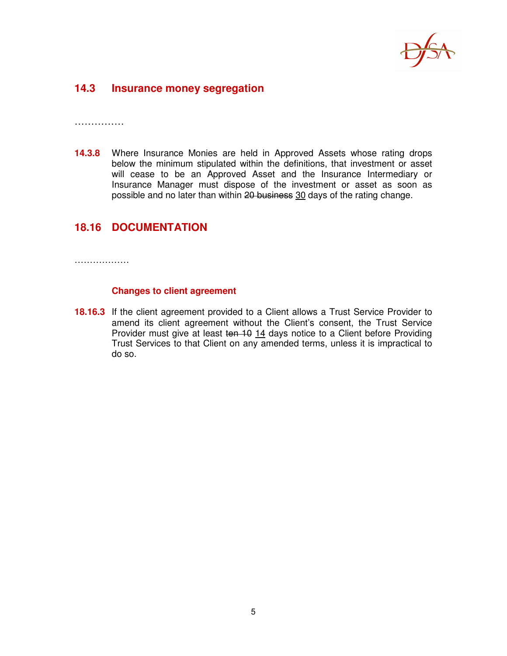

### **14.3 Insurance money segregation**

……………

**14.3.8** Where Insurance Monies are held in Approved Assets whose rating drops below the minimum stipulated within the definitions, that investment or asset will cease to be an Approved Asset and the Insurance Intermediary or Insurance Manager must dispose of the investment or asset as soon as possible and no later than within 20 business 30 days of the rating change.

### **18.16 DOCUMENTATION**

………………

#### **Changes to client agreement**

**18.16.3** If the client agreement provided to a Client allows a Trust Service Provider to amend its client agreement without the Client's consent, the Trust Service Provider must give at least ten 10 14 days notice to a Client before Providing Trust Services to that Client on any amended terms, unless it is impractical to do so.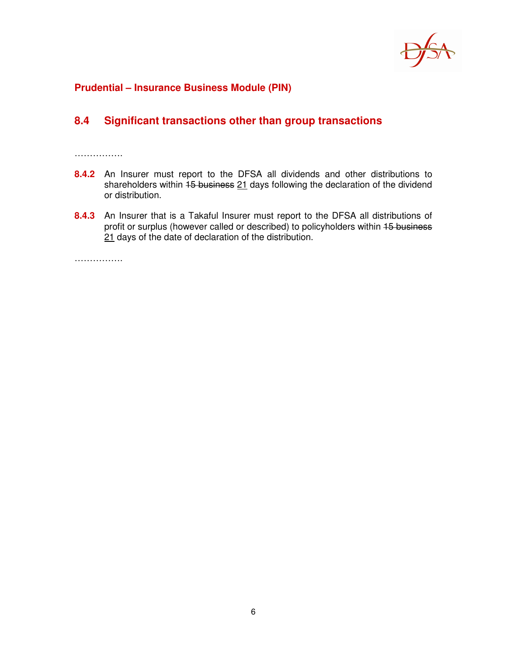

#### **Prudential – Insurance Business Module (PIN)**

## **8.4 Significant transactions other than group transactions**

…………….

- **8.4.2** An Insurer must report to the DFSA all dividends and other distributions to shareholders within 15 business 21 days following the declaration of the dividend or distribution.
- **8.4.3** An Insurer that is a Takaful Insurer must report to the DFSA all distributions of profit or surplus (however called or described) to policyholders within 15 business 21 days of the date of declaration of the distribution.

…………….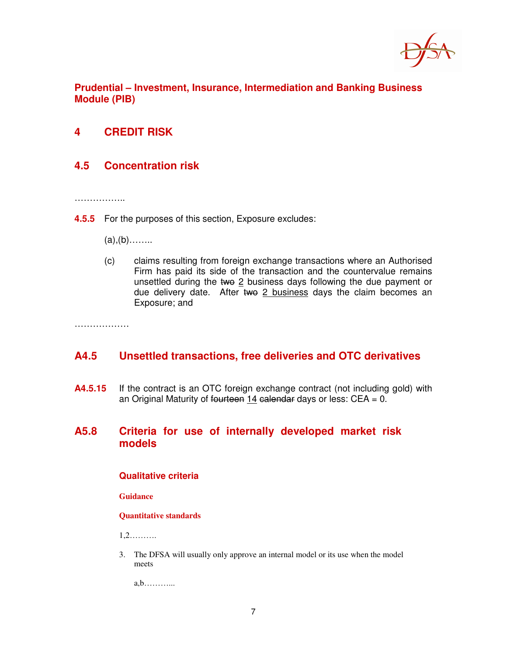

**Prudential – Investment, Insurance, Intermediation and Banking Business Module (PIB)** 

## **4 CREDIT RISK**

## **4.5 Concentration risk**

……………..

- **4.5.5** For the purposes of this section, Exposure excludes:
	- $(a), (b)$ ……..
	- (c) claims resulting from foreign exchange transactions where an Authorised Firm has paid its side of the transaction and the countervalue remains unsettled during the two  $2$  business days following the due payment or due delivery date. After two 2 business days the claim becomes an Exposure; and

………………

#### **A4.5 Unsettled transactions, free deliveries and OTC derivatives**

**A4.5.15** If the contract is an OTC foreign exchange contract (not including gold) with an Original Maturity of fourteen 14 calendar days or less:  $CEA = 0$ .

#### **A5.8 Criteria for use of internally developed market risk models**

#### **Qualitative criteria**

**Guidance** 

#### **Quantitative standards**

1,2……….

3. The DFSA will usually only approve an internal model or its use when the model meets

a,b………...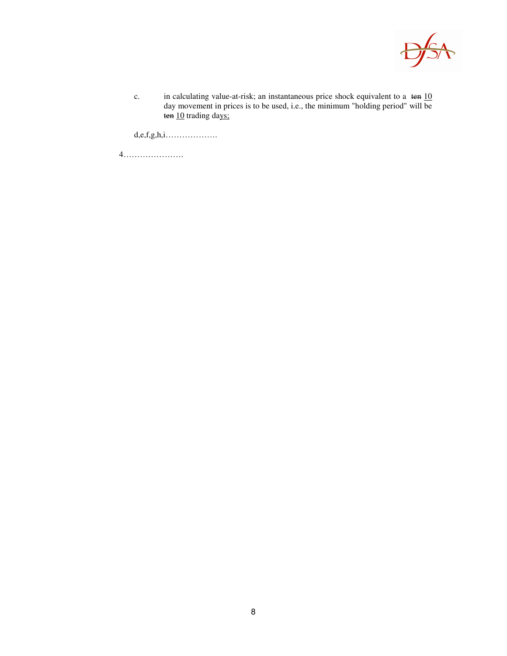

c. in calculating value-at-risk; an instantaneous price shock equivalent to a ten 10 day movement in prices is to be used, i.e., the minimum "holding period" will be ten 10 trading days;

 $d,e,f,g,h,i.\ldots\ldots\ldots\ldots\ldots\ldots$ 

4………………….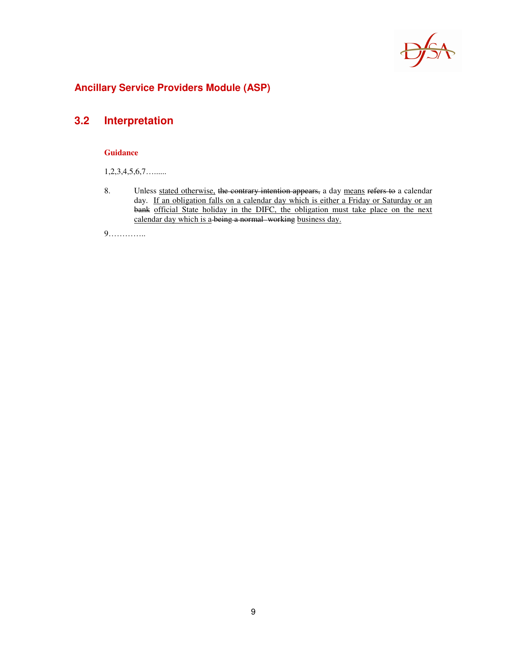

## **Ancillary Service Providers Module (ASP)**

# **3.2 Interpretation**

#### **Guidance**

1,2,3,4,5,6,7…......

8. Unless stated otherwise, the contrary intention appears, a day means refers to a calendar day. If an obligation falls on a calendar day which is either a Friday or Saturday or an bank official State holiday in the DIFC, the obligation must take place on the next calendar day which is a being a normal working business day.

9…………..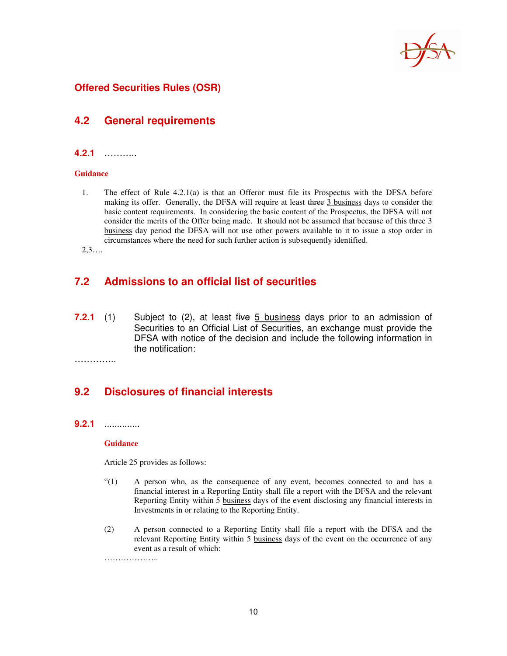

### **Offered Securities Rules (OSR)**

#### **4.2 General requirements**

#### **4.2.1** ………..

#### **Guidance**

1. The effect of Rule 4.2.1(a) is that an Offeror must file its Prospectus with the DFSA before making its offer. Generally, the DFSA will require at least three 3 business days to consider the basic content requirements. In considering the basic content of the Prospectus, the DFSA will not consider the merits of the Offer being made. It should not be assumed that because of this three 3 business day period the DFSA will not use other powers available to it to issue a stop order in circumstances where the need for such further action is subsequently identified.

2,3….

### **7.2 Admissions to an official list of securities**

**7.2.1** (1) Subject to (2), at least five 5 business days prior to an admission of Securities to an Official List of Securities, an exchange must provide the DFSA with notice of the decision and include the following information in the notification:

…………..

### **9.2 Disclosures of financial interests**

#### **9.2.1** ..............

#### **Guidance**

……………………

Article 25 provides as follows:

- "(1) A person who, as the consequence of any event, becomes connected to and has a financial interest in a Reporting Entity shall file a report with the DFSA and the relevant Reporting Entity within 5 business days of the event disclosing any financial interests in Investments in or relating to the Reporting Entity.
- (2) A person connected to a Reporting Entity shall file a report with the DFSA and the relevant Reporting Entity within 5 business days of the event on the occurrence of any event as a result of which: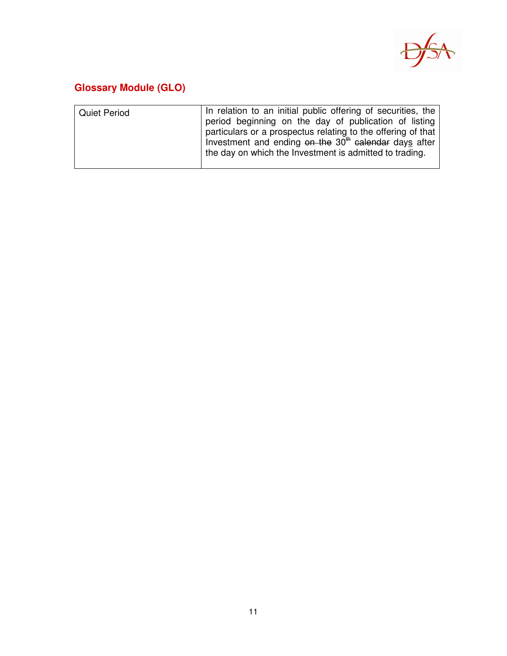

# **Glossary Module (GLO)**

| <b>Quiet Period</b> | In relation to an initial public offering of securities, the<br>period beginning on the day of publication of listing<br>particulars or a prospectus relating to the offering of that<br>Investment and ending on the 30 <sup>th</sup> calendar days after |
|---------------------|------------------------------------------------------------------------------------------------------------------------------------------------------------------------------------------------------------------------------------------------------------|
|                     | the day on which the Investment is admitted to trading.                                                                                                                                                                                                    |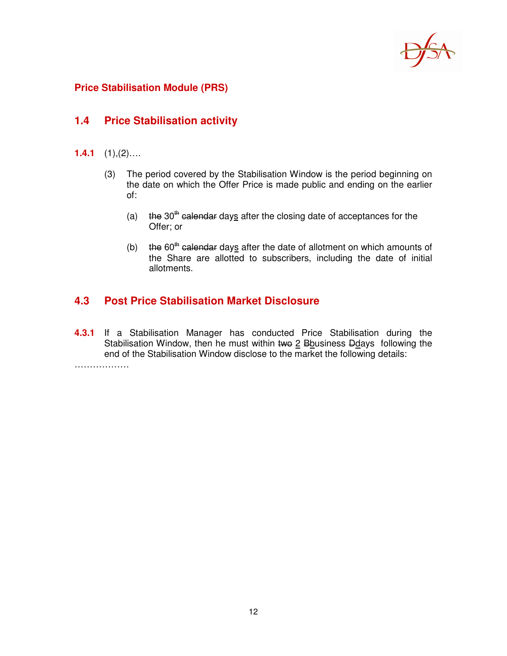

### **Price Stabilisation Module (PRS)**

### **1.4 Price Stabilisation activity**

- **1.4.1** (1),(2)….
	- (3) The period covered by the Stabilisation Window is the period beginning on the date on which the Offer Price is made public and ending on the earlier of:
		- (a)  $t$  the 30<sup>th</sup> calendar days after the closing date of acceptances for the Offer; or
		- (b) the  $60<sup>th</sup>$  calendar days after the date of allotment on which amounts of the Share are allotted to subscribers, including the date of initial allotments.

### **4.3 Post Price Stabilisation Market Disclosure**

**4.3.1** If a Stabilisation Manager has conducted Price Stabilisation during the Stabilisation Window, then he must within two  $2$  Bbusiness Ddays following the end of the Stabilisation Window disclose to the market the following details:

………………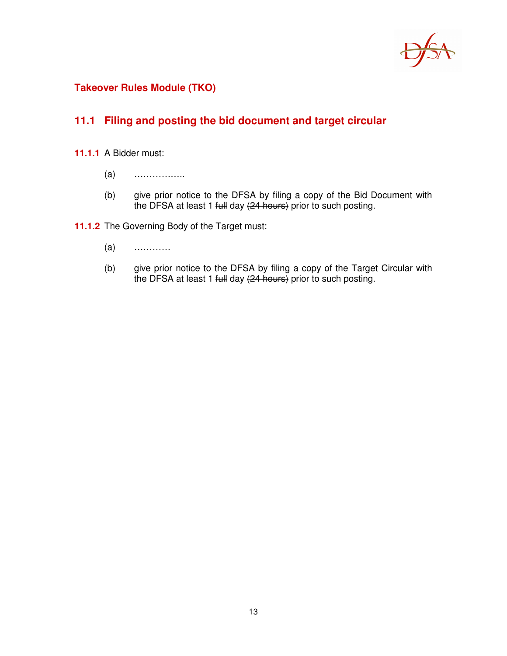

## **Takeover Rules Module (TKO)**

## **11.1 Filing and posting the bid document and target circular**

- **11.1.1** A Bidder must:
	- (a) ……………..
	- (b) give prior notice to the DFSA by filing a copy of the Bid Document with the DFSA at least 1 full day (24 hours) prior to such posting.

**11.1.2** The Governing Body of the Target must:

- (a) …………
- (b) give prior notice to the DFSA by filing a copy of the Target Circular with the DFSA at least 1 full day (24 hours) prior to such posting.